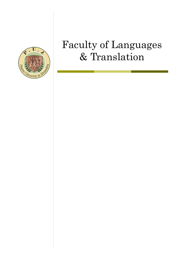

# Faculty of Languages & Translation